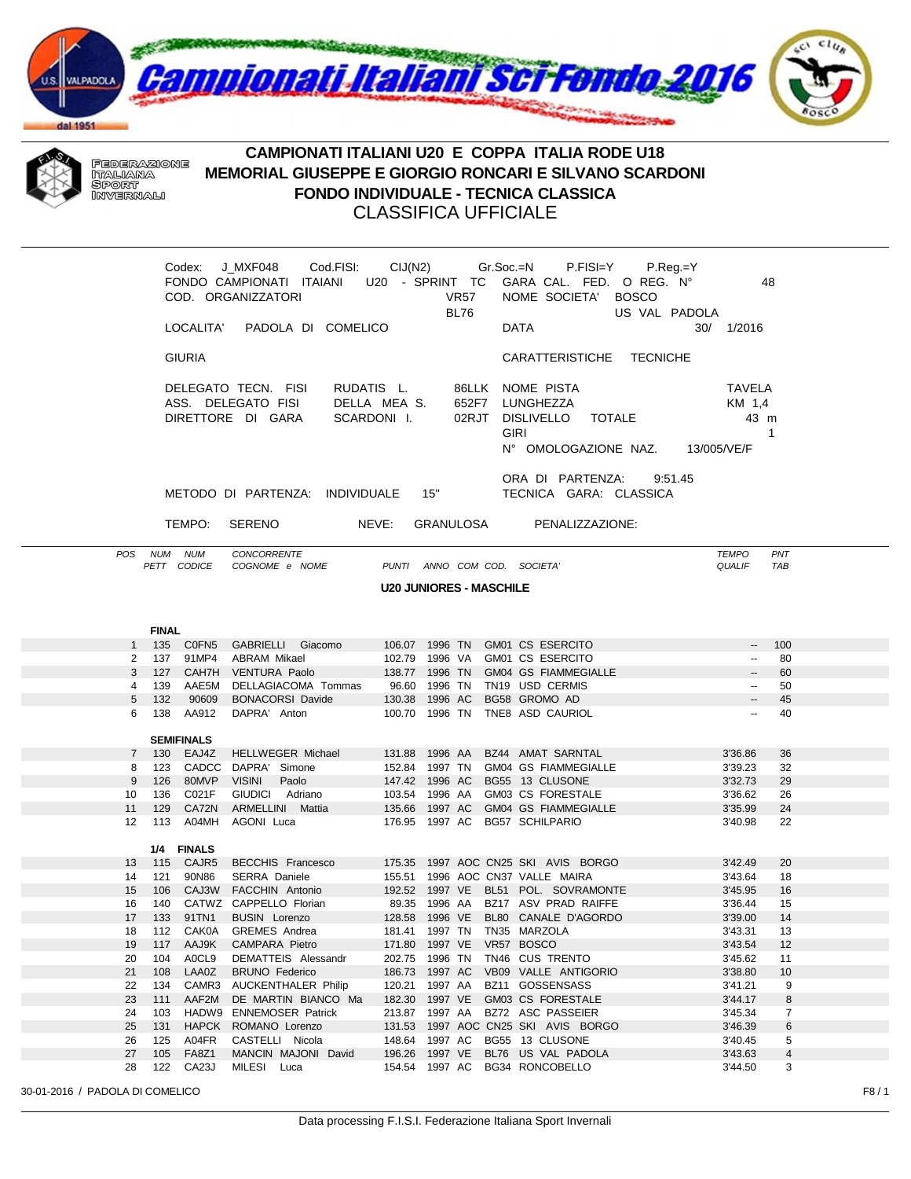



## CAMPIONATI ITALIANI U20 E COPPA ITALIA RODE U18 MEMORIAL GIUSEPPE E GIORGIO RONCARI E SILVANO SCARDONI **FONDO INDIVIDUALE - TECNICA CLASSICA CLASSIFICA UFFICIALE**

|                                                                                              |              | <b>GIURIA</b>                    | COD. ORGANIZZATORI<br>LOCALITA' PADOLA DI COMELICO<br>DELEGATO TECN. FISI<br>ASS. DELEGATO FISI<br>DIRETTORE DI GARA | DELLA MEAS.<br>SCARDONI I.     |         | VR57<br><b>BL76</b> |  | Codex: J_MXF048 Cod.FISI: CIJ(N2) Gr.Soc.=N P.FISI=Y P.Reg.=Y<br>FONDO CAMPIONATI ITAIANI U20 - SPRINT TC GARA CAL. FED. O REG. N°<br>NOME SOCIETA' BOSCO<br>US VAL PADOLA<br><b>DATA</b><br>CARATTERISTICHE TECNICHE<br>RUDATIS L. 86LLK NOME PISTA<br>652F7 LUNGHEZZA<br>02RJT DISLIVELLO TOTALE<br><b>GIRI</b><br>N° OMOLOGAZIONE NAZ. 13/005/VE/F | 48<br>30/ 1/2016<br><b>TAVELA</b><br>KM 1,4<br>43 m | $\mathbf{1}$ |  |
|----------------------------------------------------------------------------------------------|--------------|----------------------------------|----------------------------------------------------------------------------------------------------------------------|--------------------------------|---------|---------------------|--|-------------------------------------------------------------------------------------------------------------------------------------------------------------------------------------------------------------------------------------------------------------------------------------------------------------------------------------------------------|-----------------------------------------------------|--------------|--|
| ORA DI PARTENZA:<br>9:51.45<br>METODO DI PARTENZA: INDIVIDUALE 15"<br>TECNICA GARA: CLASSICA |              |                                  |                                                                                                                      |                                |         |                     |  |                                                                                                                                                                                                                                                                                                                                                       |                                                     |              |  |
| TEMPO:<br><b>SERENO</b><br>NEVE:<br>GRANULOSA PENALIZZAZIONE:                                |              |                                  |                                                                                                                      |                                |         |                     |  |                                                                                                                                                                                                                                                                                                                                                       |                                                     |              |  |
|                                                                                              |              |                                  |                                                                                                                      |                                |         |                     |  |                                                                                                                                                                                                                                                                                                                                                       |                                                     |              |  |
|                                                                                              |              | POS NUM NUM<br>PETT CODICE       | CONCORRENTE<br>COGNOME e NOME                                                                                        |                                |         |                     |  | PUNTI ANNO COM COD. SOCIETA'                                                                                                                                                                                                                                                                                                                          | <b>TEMPO</b><br><b>QUALIF</b>                       | PNT<br>TAB   |  |
|                                                                                              |              |                                  |                                                                                                                      | <b>U20 JUNIORES - MASCHILE</b> |         |                     |  |                                                                                                                                                                                                                                                                                                                                                       |                                                     |              |  |
|                                                                                              |              |                                  |                                                                                                                      |                                |         |                     |  |                                                                                                                                                                                                                                                                                                                                                       |                                                     |              |  |
|                                                                                              |              |                                  |                                                                                                                      |                                |         |                     |  |                                                                                                                                                                                                                                                                                                                                                       |                                                     |              |  |
|                                                                                              | <b>FINAL</b> |                                  |                                                                                                                      |                                |         |                     |  |                                                                                                                                                                                                                                                                                                                                                       |                                                     |              |  |
|                                                                                              |              | 1 135 C0FN5                      | GABRIELLI Giacomo                                                                                                    |                                |         |                     |  | 106.07 1996 TN GM01 CS ESERCITO<br>102.79 1996 VA GM01 CS ESERCITO                                                                                                                                                                                                                                                                                    | $\overline{\phantom{a}}$                            | 100          |  |
|                                                                                              |              | 2 137 91MP4<br>3 127 CAH7H       | ABRAM Mikael<br><b>VENTURA Paolo</b>                                                                                 |                                |         |                     |  | 138.77 1996 TN GM04 GS FIAMMEGIALLE                                                                                                                                                                                                                                                                                                                   | $\sim$<br>$\overline{\phantom{a}}$                  | 80<br>60     |  |
|                                                                                              |              | 4 139 AAE5M                      | DELLAGIACOMA Tommas                                                                                                  |                                |         |                     |  | 96.60 1996 TN TN19 USD CERMIS                                                                                                                                                                                                                                                                                                                         | $\sim$                                              | 50           |  |
| 5                                                                                            |              | 132 90609                        | BONACORSI Davide 130.38 1996 AC                                                                                      |                                |         |                     |  | BG58 GROMO AD                                                                                                                                                                                                                                                                                                                                         | $\overline{\phantom{a}}$                            | 45           |  |
| 6                                                                                            |              | 138 AA912                        | DAPRA' Anton                                                                                                         |                                |         |                     |  | 100.70 1996 TN TNE8 ASD CAURIOL                                                                                                                                                                                                                                                                                                                       | $\overline{\phantom{a}}$                            | 40           |  |
|                                                                                              |              |                                  |                                                                                                                      |                                |         |                     |  |                                                                                                                                                                                                                                                                                                                                                       |                                                     |              |  |
|                                                                                              |              | <b>SEMIFINALS</b><br>7 130 EAJ4Z | HELLWEGER Michael                                                                                                    |                                |         |                     |  | 131.88 1996 AA BZ44 AMAT SARNTAL                                                                                                                                                                                                                                                                                                                      | 3'36.86                                             | 36           |  |
| 8                                                                                            |              |                                  | 123 CADCC DAPRA' Simone                                                                                              |                                |         |                     |  | 152.84 1997 TN GM04 GS FIAMMEGIALLE                                                                                                                                                                                                                                                                                                                   | 3'39.23                                             | 32           |  |
| 9                                                                                            |              | 126 80MVP                        | Paolo<br><b>VISINI</b>                                                                                               |                                |         |                     |  | 147.42 1996 AC BG55 13 CLUSONE                                                                                                                                                                                                                                                                                                                        | 3'32.73                                             | 29           |  |
| 10                                                                                           |              | 136 C021F                        | GIUDICI Adriano                                                                                                      |                                |         |                     |  | 103.54 1996 AA GM03 CS FORESTALE                                                                                                                                                                                                                                                                                                                      | 3'36.62                                             | 26           |  |
| 11                                                                                           |              | 129 CA72N                        | ARMELLINI Mattia                                                                                                     |                                |         |                     |  | 135.66 1997 AC GM04 GS FIAMMEGIALLE                                                                                                                                                                                                                                                                                                                   | 3'35.99                                             | 24           |  |
| 12                                                                                           |              | 113 A04MH                        | AGONI Luca                                                                                                           |                                |         |                     |  | 176.95 1997 AC BG57 SCHILPARIO                                                                                                                                                                                                                                                                                                                        | 3'40.98                                             | 22           |  |
|                                                                                              |              | 1/4 FINALS                       |                                                                                                                      |                                |         |                     |  |                                                                                                                                                                                                                                                                                                                                                       |                                                     |              |  |
| 13                                                                                           |              | 115 CAJR5                        | BECCHIS Francesco                                                                                                    |                                |         |                     |  | 175.35 1997 AOC CN25 SKI AVIS BORGO                                                                                                                                                                                                                                                                                                                   | 3'42.49                                             | 20           |  |
| 14                                                                                           |              | 121 90N86                        | SERRA Daniele 155.51 1996 AOC CN37 VALLE MAIRA                                                                       |                                |         |                     |  |                                                                                                                                                                                                                                                                                                                                                       | 3'43.64                                             | 18           |  |
| 15                                                                                           |              | 106 CAJ3W                        | FACCHIN Antonio<br>140 CATWZ CAPPELLO Florian 69.35 1996 AA BZ17 ASV PRAD RAIFFE                                     |                                |         |                     |  | 192.52 1997 VE BL51 POL. SOVRAMONTE                                                                                                                                                                                                                                                                                                                   | 3'45.95<br>3'36.44                                  | 16<br>15     |  |
| 16                                                                                           |              | 17  133  91TN1                   | <b>BUSIN</b> Lorenzo                                                                                                 |                                |         |                     |  | 128.58 1996 VE BL80 CANALE D'AGORDO                                                                                                                                                                                                                                                                                                                   | 3'39.00                                             | 14           |  |
| 18                                                                                           |              | 112 CAK0A                        | <b>GREMES</b> Andrea                                                                                                 | 181.41 1997 TN                 |         |                     |  | TN35 MARZOLA                                                                                                                                                                                                                                                                                                                                          | 3'43.31                                             | 13           |  |
| 19                                                                                           | 117          | AAJ9K                            | CAMPARA Pietro                                                                                                       | 171.80 1997 VE                 |         |                     |  | VR57 BOSCO                                                                                                                                                                                                                                                                                                                                            | 3'43.54                                             | 12           |  |
| 20                                                                                           | 104          | A0CL9                            | DEMATTEIS Alessandr                                                                                                  | 202.75                         | 1996 TN |                     |  | TN46 CUS TRENTO                                                                                                                                                                                                                                                                                                                                       | 3'45.62                                             | 11           |  |
| 21                                                                                           | 108          | LAA0Z                            | <b>BRUNO Federico</b>                                                                                                | 186.73 1997 AC                 |         |                     |  | VB09 VALLE ANTIGORIO                                                                                                                                                                                                                                                                                                                                  | 3'38.80                                             | 10           |  |
| 22<br>23                                                                                     | 134<br>111   | CAMR3<br>AAF2M                   | <b>AUCKENTHALER Philip</b><br>DE MARTIN BIANCO Ma                                                                    | 120.21<br>182.30 1997 VE       | 1997 AA |                     |  | BZ11 GOSSENSASS<br>GM03 CS FORESTALE                                                                                                                                                                                                                                                                                                                  | 3'41.21<br>3'44.17                                  | 9<br>8       |  |
| 24                                                                                           | 103          | HADW9                            | <b>ENNEMOSER Patrick</b>                                                                                             | 213.87                         | 1997 AA |                     |  | BZ72 ASC PASSEIER                                                                                                                                                                                                                                                                                                                                     | 3'45.34                                             | 7            |  |
| 25                                                                                           | 131          | <b>HAPCK</b>                     | ROMANO Lorenzo                                                                                                       |                                |         |                     |  | 131.53 1997 AOC CN25 SKI AVIS BORGO                                                                                                                                                                                                                                                                                                                   | 3'46.39                                             | 6            |  |
| 26                                                                                           | 125          | A04FR                            | CASTELLI Nicola                                                                                                      | 148.64 1997 AC                 |         |                     |  | BG55 13 CLUSONE                                                                                                                                                                                                                                                                                                                                       | 3'40.45                                             | 5            |  |
| 27                                                                                           | 105          | FA8Z1                            | MANCIN MAJONI David                                                                                                  | 196.26 1997 VE                 |         |                     |  | BL76 US VAL PADOLA                                                                                                                                                                                                                                                                                                                                    | 3'43.63                                             | 4            |  |
| 28                                                                                           |              | 122 CA23J                        | MILESI Luca                                                                                                          | 154.54 1997 AC                 |         |                     |  | BG34 RONCOBELLO                                                                                                                                                                                                                                                                                                                                       | 3'44.50                                             | 3            |  |

30-01-2016 / PADOLA DI COMELICO